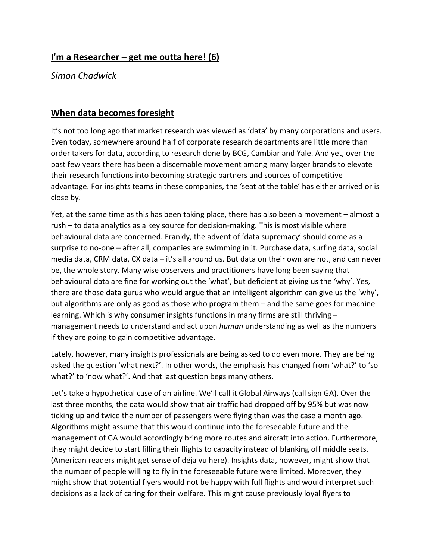## **I'm a Researcher – get me outta here! (6)**

*Simon Chadwick*

## **When data becomes foresight**

It's not too long ago that market research was viewed as 'data' by many corporations and users. Even today, somewhere around half of corporate research departments are little more than order takers for data, according to research done by BCG, Cambiar and Yale. And yet, over the past few years there has been a discernable movement among many larger brands to elevate their research functions into becoming strategic partners and sources of competitive advantage. For insights teams in these companies, the 'seat at the table' has either arrived or is close by.

Yet, at the same time as this has been taking place, there has also been a movement – almost a rush – to data analytics as a key source for decision-making. This is most visible where behavioural data are concerned. Frankly, the advent of 'data supremacy' should come as a surprise to no-one – after all, companies are swimming in it. Purchase data, surfing data, social media data, CRM data, CX data – it's all around us. But data on their own are not, and can never be, the whole story. Many wise observers and practitioners have long been saying that behavioural data are fine for working out the 'what', but deficient at giving us the 'why'. Yes, there are those data gurus who would argue that an intelligent algorithm can give us the 'why', but algorithms are only as good as those who program them – and the same goes for machine learning. Which is why consumer insights functions in many firms are still thriving – management needs to understand and act upon *human* understanding as well as the numbers if they are going to gain competitive advantage.

Lately, however, many insights professionals are being asked to do even more. They are being asked the question 'what next?'. In other words, the emphasis has changed from 'what?' to 'so what?' to 'now what?'. And that last question begs many others.

Let's take a hypothetical case of an airline. We'll call it Global Airways (call sign GA). Over the last three months, the data would show that air traffic had dropped off by 95% but was now ticking up and twice the number of passengers were flying than was the case a month ago. Algorithms might assume that this would continue into the foreseeable future and the management of GA would accordingly bring more routes and aircraft into action. Furthermore, they might decide to start filling their flights to capacity instead of blanking off middle seats. (American readers might get sense of déja vu here). Insights data, however, might show that the number of people willing to fly in the foreseeable future were limited. Moreover, they might show that potential flyers would not be happy with full flights and would interpret such decisions as a lack of caring for their welfare. This might cause previously loyal flyers to